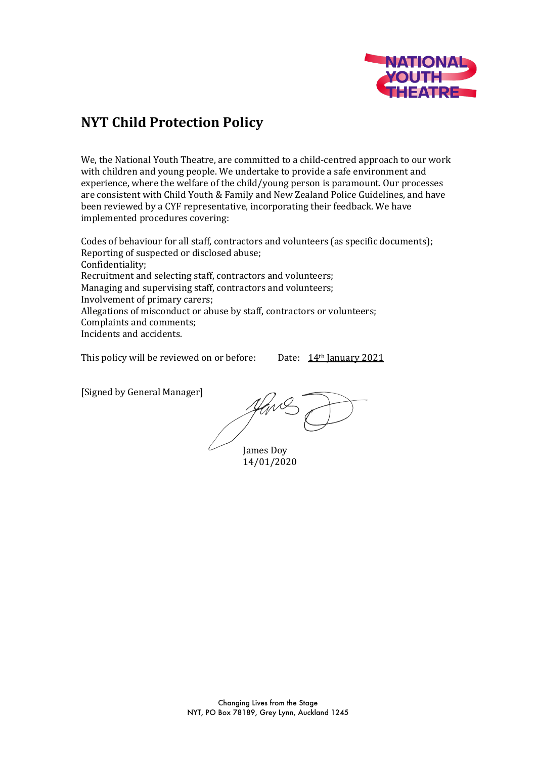

# **NYT Child Protection Policy**

We, the National Youth Theatre, are committed to a child-centred approach to our work with children and young people. We undertake to provide a safe environment and experience, where the welfare of the child/young person is paramount. Our processes are consistent with Child Youth & Family and New Zealand Police Guidelines, and have been reviewed by a CYF representative, incorporating their feedback. We have implemented procedures covering:

Codes of behaviour for all staff, contractors and volunteers (as specific documents); Reporting of suspected or disclosed abuse; Confidentiality; Recruitment and selecting staff, contractors and volunteers; Managing and supervising staff, contractors and volunteers; Involvement of primary carers; Allegations of misconduct or abuse by staff, contractors or volunteers; Complaints and comments; Incidents and accidents.

This policy will be reviewed on or before: Date:  $14<sup>th</sup>$  January 2021

[Signed by General Manager]

James Doy 14/01/2020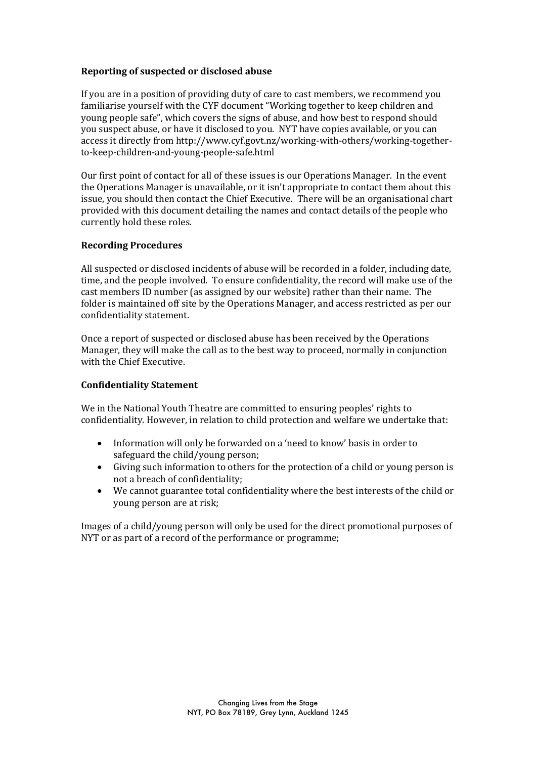#### **Reporting of suspected or disclosed abuse**

If you are in a position of providing duty of care to cast members, we recommend you familiarise yourself with the CYF document "Working together to keep children and young people safe", which covers the signs of abuse, and how best to respond should you suspect abuse, or have it disclosed to you. NYT have copies available, or you can access it directly from http://www.cyf.govt.nz/working-with-others/working-togetherto-keep-children-and-young-people-safe.html

Our first point of contact for all of these issues is our Operations Manager. In the event the Operations Manager is unavailable, or it isn't appropriate to contact them about this issue, you should then contact the Chief Executive. There will be an organisational chart provided with this document detailing the names and contact details of the people who currently hold these roles.

#### **Recording Procedures**

All suspected or disclosed incidents of abuse will be recorded in a folder, including date, time, and the people involved. To ensure confidentiality, the record will make use of the cast members ID number (as assigned by our website) rather than their name. The folder is maintained off site by the Operations Manager, and access restricted as per our confidentiality statement.

Once a report of suspected or disclosed abuse has been received by the Operations Manager, they will make the call as to the best way to proceed, normally in conjunction with the Chief Executive.

#### **Confidentiality Statement**

We in the National Youth Theatre are committed to ensuring peoples' rights to confidentiality. However, in relation to child protection and welfare we undertake that:

- Information will only be forwarded on a 'need to know' basis in order to safeguard the child/young person:
- Giving such information to others for the protection of a child or young person is not a breach of confidentiality:
- We cannot guarantee total confidentiality where the best interests of the child or young person are at risk;

Images of a child/young person will only be used for the direct promotional purposes of NYT or as part of a record of the performance or programme;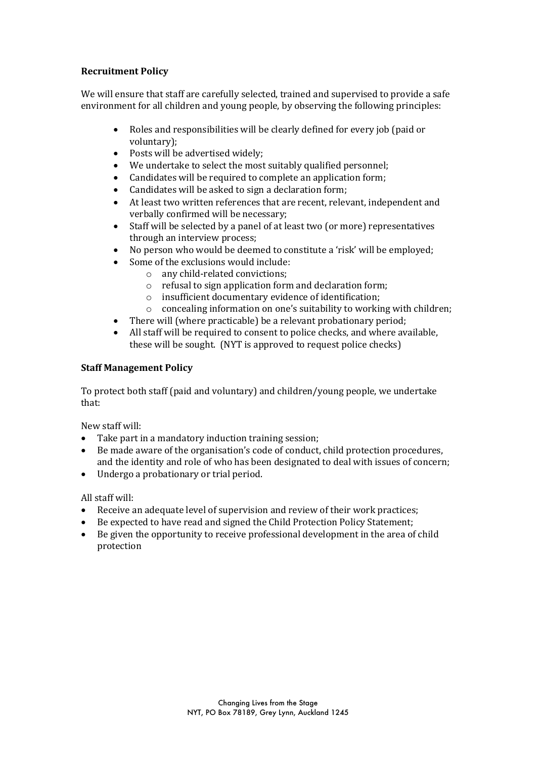# **Recruitment Policy**

We will ensure that staff are carefully selected, trained and supervised to provide a safe environment for all children and young people, by observing the following principles:

- Roles and responsibilities will be clearly defined for every job (paid or voluntary);
- $\bullet$  Posts will be advertised widely;
- We undertake to select the most suitably qualified personnel;
- Candidates will be required to complete an application form;
- Candidates will be asked to sign a declaration form;
- At least two written references that are recent, relevant, independent and verbally confirmed will be necessary;
- Staff will be selected by a panel of at least two (or more) representatives through an interview process;
- No person who would be deemed to constitute a 'risk' will be employed;
	- Some of the exclusions would include:
		- $\circ$  any child-related convictions:
			- $\circ$  refusal to sign application form and declaration form;
			- o insufficient documentary evidence of identification;
		- $\circ$  concealing information on one's suitability to working with children;
- There will (where practicable) be a relevant probationary period;
- All staff will be required to consent to police checks, and where available, these will be sought. (NYT is approved to request police checks)

# **Staff Management Policy**

To protect both staff (paid and voluntary) and children/young people, we undertake that:

New staff will:

- Take part in a mandatory induction training session;
- $\bullet$  Be made aware of the organisation's code of conduct, child protection procedures, and the identity and role of who has been designated to deal with issues of concern;
- Undergo a probationary or trial period.

All staff will:

- Receive an adequate level of supervision and review of their work practices;
- Be expected to have read and signed the Child Protection Policy Statement;
- $\bullet$  Be given the opportunity to receive professional development in the area of child protection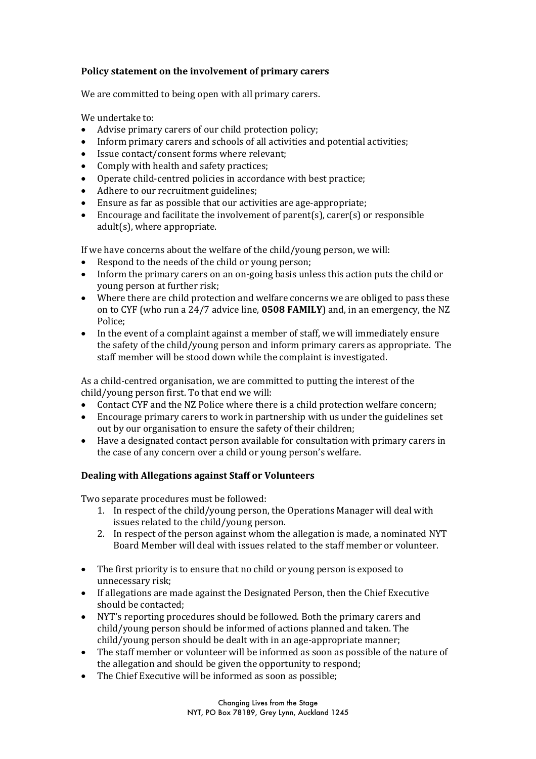# **Policy statement on the involvement of primary carers**

We are committed to being open with all primary carers.

We undertake to:

- Advise primary carers of our child protection policy;
- Inform primary carers and schools of all activities and potential activities;
- Issue contact/consent forms where relevant:
- Comply with health and safety practices;
- Operate child-centred policies in accordance with best practice;
- Adhere to our recruitment guidelines;
- Ensure as far as possible that our activities are age-appropriate;
- Encourage and facilitate the involvement of parent(s), carer(s) or responsible  $adult(s)$ , where appropriate.

If we have concerns about the welfare of the child/young person, we will:

- Respond to the needs of the child or young person;
- Inform the primary carers on an on-going basis unless this action puts the child or young person at further risk;
- Where there are child protection and welfare concerns we are obliged to pass these on to CYF (who run a 24/7 advice line, **0508 FAMILY**) and, in an emergency, the NZ Police;
- In the event of a complaint against a member of staff, we will immediately ensure the safety of the child/young person and inform primary carers as appropriate. The staff member will be stood down while the complaint is investigated.

As a child-centred organisation, we are committed to putting the interest of the  $child/$ young person first. To that end we will:

- Contact CYF and the NZ Police where there is a child protection welfare concern;
- Encourage primary carers to work in partnership with us under the guidelines set out by our organisation to ensure the safety of their children;
- Have a designated contact person available for consultation with primary carers in the case of any concern over a child or young person's welfare.

## **Dealing with Allegations against Staff or Volunteers**

Two separate procedures must be followed:

- 1. In respect of the child/young person, the Operations Manager will deal with issues related to the child/young person.
- 2. In respect of the person against whom the allegation is made, a nominated NYT Board Member will deal with issues related to the staff member or volunteer.
- The first priority is to ensure that no child or young person is exposed to unnecessary risk:
- If allegations are made against the Designated Person, then the Chief Executive should be contacted:
- NYT's reporting procedures should be followed. Both the primary carers and child/young person should be informed of actions planned and taken. The child/young person should be dealt with in an age-appropriate manner;
- The staff member or volunteer will be informed as soon as possible of the nature of the allegation and should be given the opportunity to respond;
- The Chief Executive will be informed as soon as possible;